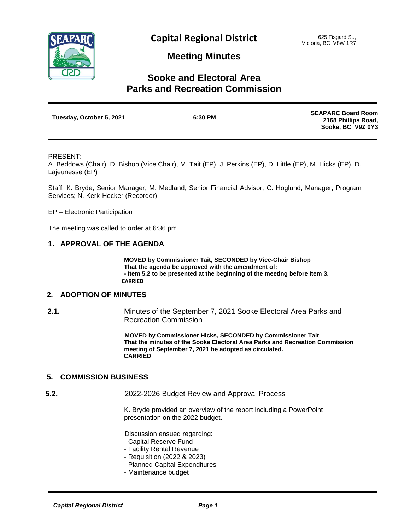

## **Meeting Minutes**

# **Sooke and Electoral Area Parks and Recreation Commission**

| Tuesday, October 5, 2021 | 6:30 PM | <b>SEAPARC Board Room</b> |
|--------------------------|---------|---------------------------|
|                          |         | 2168 Phillips Road,       |
|                          |         | Sooke, BC V9Z 0Y3         |

#### PRESENT:

A. Beddows (Chair), D. Bishop (Vice Chair), M. Tait (EP), J. Perkins (EP), D. Little (EP), M. Hicks (EP), D. Lajeunesse (EP)

Staff: K. Bryde, Senior Manager; M. Medland, Senior Financial Advisor; C. Hoglund, Manager, Program Services; N. Kerk-Hecker (Recorder)

EP – Electronic Participation

The meeting was called to order at 6:36 pm

#### **1. APPROVAL OF THE AGENDA**

**MOVED by Commissioner Tait, SECONDED by Vice-Chair Bishop That the agenda be approved with the amendment of: - Item 5.2 to be presented at the beginning of the meeting before Item 3. CARRIED**

### **2. ADOPTION OF MINUTES**

**2.1.** Minutes of the September 7, 2021 Sooke Electoral Area Parks and Recreation Commission

> **MOVED by Commissioner Hicks, SECONDED by Commissioner Tait That the minutes of the Sooke Electoral Area Parks and Recreation Commission meeting of September 7, 2021 be adopted as circulated. CARRIED**

#### **5. COMMISSION BUSINESS**

**5.2.** 2022-2026 Budget Review and Approval Process

K. Bryde provided an overview of the report including a PowerPoint presentation on the 2022 budget.

Discussion ensued regarding:

- Capital Reserve Fund
- Facility Rental Revenue
- Requisition (2022 & 2023)
- Planned Capital Expenditures
- Maintenance budget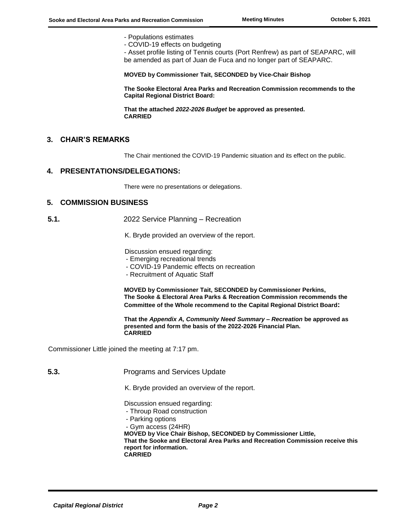- Populations estimates
- COVID-19 effects on budgeting

- Asset profile listing of Tennis courts (Port Renfrew) as part of SEAPARC, will be amended as part of Juan de Fuca and no longer part of SEAPARC.

**MOVED by Commissioner Tait, SECONDED by Vice-Chair Bishop**

**The Sooke Electoral Area Parks and Recreation Commission recommends to the Capital Regional District Board:**

**That the attached** *2022-2026 Budget* **be approved as presented. CARRIED**

#### **3. CHAIR'S REMARKS**

The Chair mentioned the COVID-19 Pandemic situation and its effect on the public.

#### **4. PRESENTATIONS/DELEGATIONS:**

There were no presentations or delegations.

#### **5. COMMISSION BUSINESS**

 **5.1.** 2022 Service Planning – Recreation

K. Bryde provided an overview of the report.

Discussion ensued regarding:

- Emerging recreational trends
- COVID-19 Pandemic effects on recreation
- Recruitment of Aquatic Staff

**MOVED by Commissioner Tait, SECONDED by Commissioner Perkins, The Sooke & Electoral Area Parks & Recreation Commission recommends the Committee of the Whole recommend to the Capital Regional District Board:**

**That the** *Appendix A, Community Need Summary – Recreation* **be approved as presented and form the basis of the 2022-2026 Financial Plan. CARRIED**

Commissioner Little joined the meeting at 7:17 pm.

 **5.3.** Programs and Services Update

K. Bryde provided an overview of the report.

Discussion ensued regarding:

- Throup Road construction
- Parking options
- Gym access (24HR)

**MOVED by Vice Chair Bishop, SECONDED by Commissioner Little, That the Sooke and Electoral Area Parks and Recreation Commission receive this report for information. CARRIED**